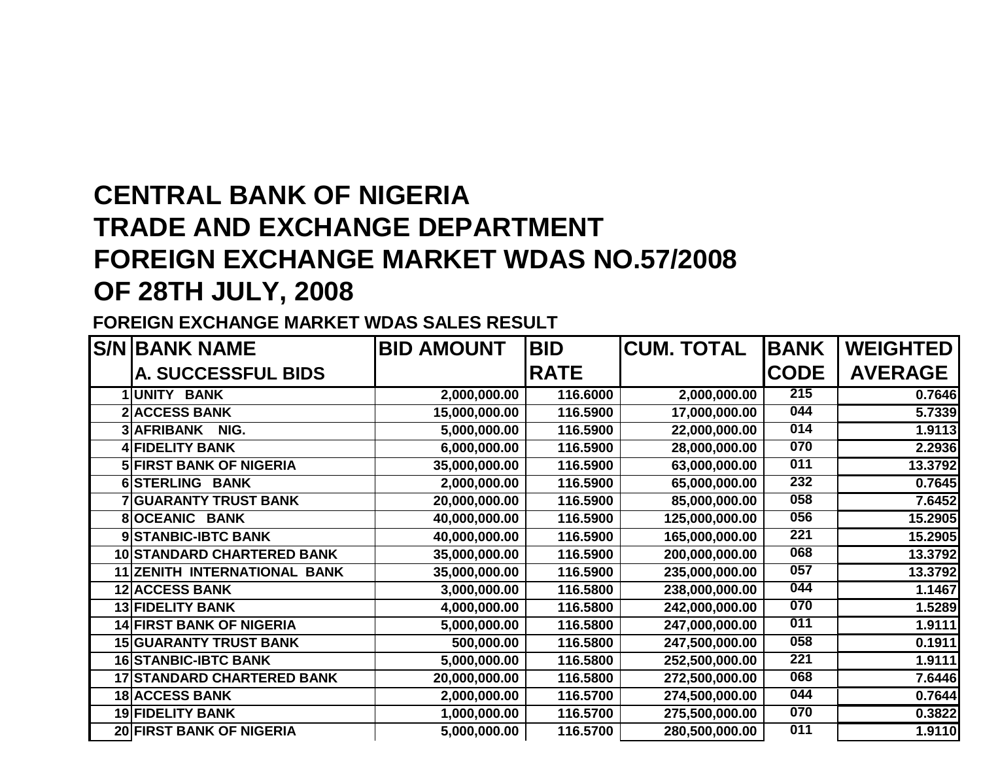# **CENTRAL BANK OF NIGERIA TRADE AND EXCHANGE DEPARTMENT FOREIGN EXCHANGE MARKET WDAS NO.57/2008OF 28TH JULY, 2008**

#### **FOREIGN EXCHANGE MARKET WDAS SALES RESULT**

| <b>S/N BANK NAME</b>                | <b>BID AMOUNT</b> | <b>BID</b>  | <b>CUM. TOTAL</b> | <b>BANK</b> | <b>WEIGHTED</b> |
|-------------------------------------|-------------------|-------------|-------------------|-------------|-----------------|
| <b>A. SUCCESSFUL BIDS</b>           |                   | <b>RATE</b> |                   | <b>CODE</b> | <b>AVERAGE</b>  |
| 1UNITY BANK                         | 2,000,000.00      | 116.6000    | 2,000,000.00      | 215         | 0.7646          |
| <b>2 ACCESS BANK</b>                | 15,000,000.00     | 116.5900    | 17,000,000.00     | 044         | 5.7339          |
| 3 AFRIBANK<br>NIG.                  | 5,000,000.00      | 116.5900    | 22,000,000.00     | 014         | 1.9113          |
| <b>4 FIDELITY BANK</b>              | 6,000,000.00      | 116.5900    | 28,000,000.00     | 070         | 2.2936          |
| <b>5 FIRST BANK OF NIGERIA</b>      | 35,000,000.00     | 116.5900    | 63,000,000.00     | 011         | 13.3792         |
| 6 STERLING BANK                     | 2,000,000.00      | 116.5900    | 65,000,000.00     | 232         | 0.7645          |
| <b>7 GUARANTY TRUST BANK</b>        | 20,000,000.00     | 116.5900    | 85,000,000.00     | 058         | 7.6452          |
| <b>8</b> OCEANIC BANK               | 40,000,000.00     | 116.5900    | 125,000,000.00    | 056         | 15.2905         |
| 9 STANBIC-IBTC BANK                 | 40,000,000.00     | 116.5900    | 165,000,000.00    | 221         | 15.2905         |
| <b>10 STANDARD CHARTERED BANK</b>   | 35,000,000.00     | 116.5900    | 200,000,000.00    | 068         | 13.3792         |
| <b>11 ZENITH INTERNATIONAL BANK</b> | 35,000,000.00     | 116.5900    | 235,000,000.00    | 057         | 13.3792         |
| <b>12 ACCESS BANK</b>               | 3,000,000.00      | 116.5800    | 238,000,000.00    | 044         | 1.1467          |
| <b>13 FIDELITY BANK</b>             | 4,000,000.00      | 116.5800    | 242,000,000.00    | 070         | 1.5289          |
| <b>14 FIRST BANK OF NIGERIA</b>     | 5,000,000.00      | 116.5800    | 247,000,000.00    | 011         | 1.9111          |
| <b>15 GUARANTY TRUST BANK</b>       | 500,000.00        | 116.5800    | 247,500,000.00    | 058         | 0.1911          |
| <b>16 STANBIC-IBTC BANK</b>         | 5,000,000.00      | 116.5800    | 252,500,000.00    | 221         | 1.9111          |
| <b>17 STANDARD CHARTERED BANK</b>   | 20,000,000.00     | 116.5800    | 272,500,000.00    | 068         | 7.6446          |
| <b>18 ACCESS BANK</b>               | 2,000,000.00      | 116.5700    | 274,500,000.00    | 044         | 0.7644          |
| 19 FIDELITY BANK                    | 1,000,000.00      | 116.5700    | 275,500,000.00    | 070         | 0.3822          |
| <b>20 FIRST BANK OF NIGERIA</b>     | 5,000,000.00      | 116.5700    | 280,500,000.00    | 011         | 1.9110          |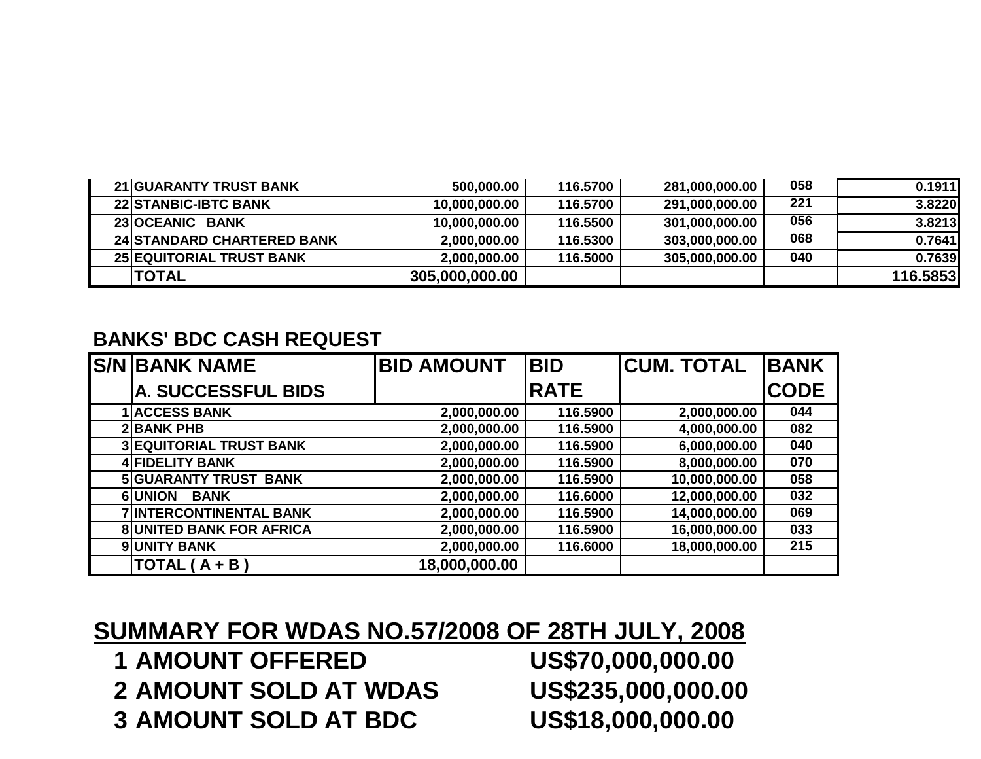| <b>21 GUARANTY TRUST BANK</b>     | 500,000.00     | 116.5700 | 281,000,000.00 | 058 | 0.1911   |
|-----------------------------------|----------------|----------|----------------|-----|----------|
| <b>22 STANBIC-IBTC BANK</b>       | 10,000,000.00  | 116.5700 | 291,000,000.00 | 221 | 3.8220   |
| 23 OCEANIC BANK                   | 10,000,000.00  | 116.5500 | 301,000,000.00 | 056 | 3.8213   |
| <b>24 STANDARD CHARTERED BANK</b> | 2,000,000.00   | 116.5300 | 303,000,000.00 | 068 | 0.7641   |
| <b>25 EQUITORIAL TRUST BANK</b>   | 2,000,000.00   | 116.5000 | 305,000,000.00 | 040 | 0.7639   |
| <b>TOTAL</b>                      | 305,000,000.00 |          |                |     | 116.5853 |

#### **BANKS' BDC CASH REQUEST**

| <b>S/N BANK NAME</b>            | <b>BID AMOUNT</b> | <b>BID</b>   | <b>CUM. TOTAL</b> | <b>BANK</b> |
|---------------------------------|-------------------|--------------|-------------------|-------------|
| <b>A. SUCCESSFUL BIDS</b>       |                   | <b>IRATE</b> |                   | <b>CODE</b> |
| <b>ACCESS BANK</b>              | 2,000,000.00      | 116.5900     | 2,000,000.00      | 044         |
| <b>2BANK PHB</b>                | 2,000,000.00      | 116.5900     | 4,000,000.00      | 082         |
| <b>3 EQUITORIAL TRUST BANK</b>  | 2,000,000.00      | 116.5900     | 6,000,000.00      | 040         |
| <b>4 FIDELITY BANK</b>          | 2,000,000.00      | 116.5900     | 8,000,000.00      | 070         |
| <b>5 GUARANTY TRUST BANK</b>    | 2,000,000.00      | 116.5900     | 10,000,000.00     | 058         |
| 6UNION<br><b>BANK</b>           | 2,000,000.00      | 116.6000     | 12,000,000.00     | 032         |
| <b>7 INTERCONTINENTAL BANK</b>  | 2,000,000.00      | 116.5900     | 14,000,000.00     | 069         |
| <b>8 UNITED BANK FOR AFRICA</b> | 2,000,000.00      | 116.5900     | 16,000,000.00     | 033         |
| <b>9 UNITY BANK</b>             | 2,000,000.00      | 116.6000     | 18,000,000.00     | 215         |
| TOTAL ( A + B )                 | 18,000,000.00     |              |                   |             |

### **SUMMARY FOR WDAS NO.57/2008 OF 28TH JULY, 2008**

**1 AMOUNT OFFERED 2 AMOUNT SOLD AT WDAS 3** AMOUNT SOLD AT BDC

US\$70,000,000.00 US\$235,000,000.00 US\$18,000,000.00